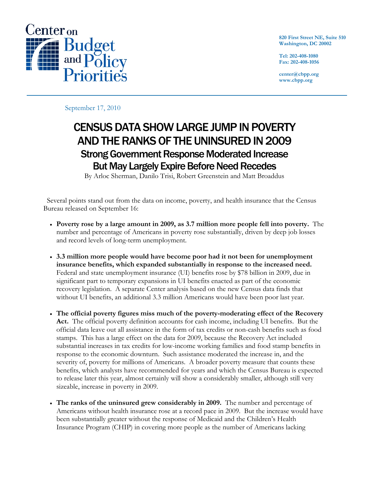

**820 First Street NE, Suite 510 Washington, DC 20002** 

**Tel: 202-408-1080 Fax: 202-408-1056** 

**center@cbpp.org www.cbpp.org** 

September 17, 2010

# CENSUS DATA SHOW LARGE JUMP IN POVERTY AND THE RANKS OF THE UNINSURED IN 2009 Strong Government Response Moderated Increase But May Largely Expire Before Need Recedes

By Arloc Sherman, Danilo Trisi, Robert Greenstein and Matt Broaddus

 Several points stand out from the data on income, poverty, and health insurance that the Census Bureau released on September 16:

- **Poverty rose by a large amount in 2009, as 3.7 million more people fell into poverty.** The number and percentage of Americans in poverty rose substantially, driven by deep job losses and record levels of long-term unemployment.
- **3.3 million more people would have become poor had it not been for unemployment insurance benefits, which expanded substantially in response to the increased need.** Federal and state unemployment insurance (UI) benefits rose by \$78 billion in 2009, due in significant part to temporary expansions in UI benefits enacted as part of the economic recovery legislation. A separate Center analysis based on the new Census data finds that without UI benefits, an additional 3.3 million Americans would have been poor last year.
- **The official poverty figures miss much of the poverty-moderating effect of the Recovery Act.** The official poverty definition accounts for cash income, including UI benefits. But the official data leave out all assistance in the form of tax credits or non-cash benefits such as food stamps. This has a large effect on the data for 2009, because the Recovery Act included substantial increases in tax credits for low-income working families and food stamp benefits in response to the economic downturn. Such assistance moderated the increase in, and the severity of, poverty for millions of Americans. A broader poverty measure that counts these benefits, which analysts have recommended for years and which the Census Bureau is expected to release later this year, almost certainly will show a considerably smaller, although still very sizeable, increase in poverty in 2009.
- **The ranks of the uninsured grew considerably in 2009.** The number and percentage of Americans without health insurance rose at a record pace in 2009. But the increase would have been substantially greater without the response of Medicaid and the Children's Health Insurance Program (CHIP) in covering more people as the number of Americans lacking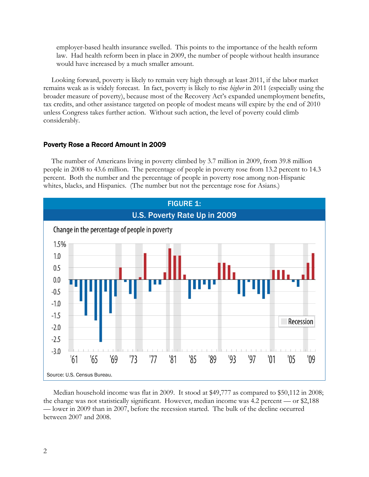employer-based health insurance swelled. This points to the importance of the health reform law. Had health reform been in place in 2009, the number of people without health insurance would have increased by a much smaller amount.

Looking forward, poverty is likely to remain very high through at least 2011, if the labor market remains weak as is widely forecast. In fact, poverty is likely to rise *higher* in 2011 (especially using the broader measure of poverty), because most of the Recovery Act's expanded unemployment benefits, tax credits, and other assistance targeted on people of modest means will expire by the end of 2010 unless Congress takes further action. Without such action, the level of poverty could climb considerably.

## Poverty Rose a Record Amount in 2009

The number of Americans living in poverty climbed by 3.7 million in 2009, from 39.8 million people in 2008 to 43.6 million. The percentage of people in poverty rose from 13.2 percent to 14.3 percent. Both the number and the percentage of people in poverty rose among non-Hispanic whites, blacks, and Hispanics. (The number but not the percentage rose for Asians.)



 Median household income was flat in 2009. It stood at \$49,777 as compared to \$50,112 in 2008; the change was not statistically significant. However, median income was 4.2 percent — or \$2,188 — lower in 2009 than in 2007, before the recession started. The bulk of the decline occurred between 2007 and 2008.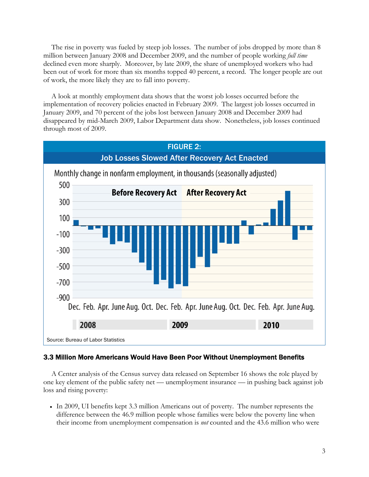The rise in poverty was fueled by steep job losses. The number of jobs dropped by more than 8 million between January 2008 and December 2009, and the number of people working *full time* declined even more sharply. Moreover, by late 2009, the share of unemployed workers who had been out of work for more than six months topped 40 percent, a record. The longer people are out of work, the more likely they are to fall into poverty.

A look at monthly employment data shows that the worst job losses occurred before the implementation of recovery policies enacted in February 2009. The largest job losses occurred in January 2009, and 70 percent of the jobs lost between January 2008 and December 2009 had disappeared by mid-March 2009, Labor Department data show. Nonetheless, job losses continued through most of 2009.



## 3.3 Million More Americans Would Have Been Poor Without Unemployment Benefits

A Center analysis of the Census survey data released on September 16 shows the role played by one key element of the public safety net — unemployment insurance — in pushing back against job loss and rising poverty:

 In 2009, UI benefits kept 3.3 million Americans out of poverty. The number represents the difference between the 46.9 million people whose families were below the poverty line when their income from unemployment compensation is *not* counted and the 43.6 million who were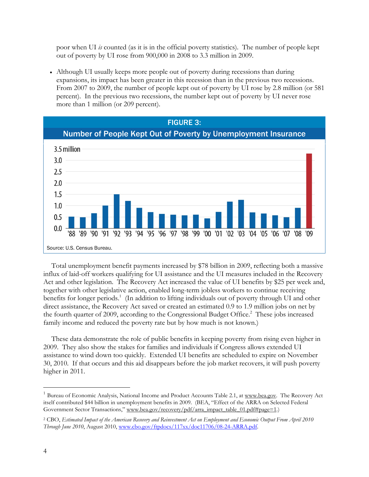poor when UI *is* counted (as it is in the official poverty statistics). The number of people kept out of poverty by UI rose from 900,000 in 2008 to 3.3 million in 2009.

 Although UI usually keeps more people out of poverty during recessions than during expansions, its impact has been greater in this recession than in the previous two recessions. From 2007 to 2009, the number of people kept out of poverty by UI rose by 2.8 million (or 581 percent). In the previous two recessions, the number kept out of poverty by UI never rose more than 1 million (or 209 percent).



Total unemployment benefit payments increased by \$78 billion in 2009, reflecting both a massive influx of laid-off workers qualifying for UI assistance and the UI measures included in the Recovery Act and other legislation. The Recovery Act increased the value of UI benefits by \$25 per week and, together with other legislative action, enabled long-term jobless workers to continue receiving benefits for longer periods.<sup>1</sup> (In addition to lifting individuals out of poverty through UI and other direct assistance, the Recovery Act saved or created an estimated 0.9 to 1.9 million jobs on net by the fourth quarter of 2009, according to the Congressional Budget Office.<sup>2</sup> These jobs increased family income and reduced the poverty rate but by how much is not known.)

These data demonstrate the role of public benefits in keeping poverty from rising even higher in 2009. They also show the stakes for families and individuals if Congress allows extended UI assistance to wind down too quickly. Extended UI benefits are scheduled to expire on November 30, 2010. If that occurs and this aid disappears before the job market recovers, it will push poverty higher in 2011.

-

 $1$  Bureau of Economic Analysis, National Income and Product Accounts Table 2.1, at www.bea.gov. The Recovery Act itself contributed \$44 billion in unemployment benefits in 2009. (BEA, "Effect of the ARRA on Selected Federal Government Sector Transactions," www.bea.gov/recovery/pdf/arra\_impact\_table\_01.pdf#page=1.)

<sup>2</sup> CBO, *Estimated Impact of the American Recovery and Reinvestment Act on Employment and Economic Output From April 2010 Through June 2010*, August 2010, www.cbo.gov/ftpdocs/117xx/doc11706/08-24-ARRA.pdf.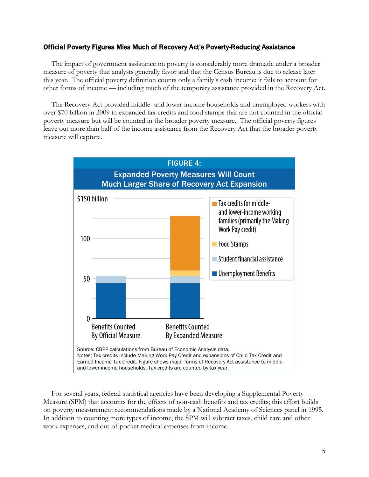## Official Poverty Figures Miss Much of Recovery Act's Poverty-Reducing Assistance

The impact of government assistance on poverty is considerably more dramatic under a broader measure of poverty that analysts generally favor and that the Census Bureau is due to release later this year. The official poverty definition counts only a family's cash income; it fails to account for other forms of income — including much of the temporary assistance provided in the Recovery Act.

The Recovery Act provided middle- and lower-income households and unemployed workers with over \$70 billion in 2009 in expanded tax credits and food stamps that are not counted in the official poverty measure but will be counted in the broader poverty measure. The official poverty figures leave out more than half of the income assistance from the Recovery Act that the broader poverty measure will capture.



For several years, federal statistical agencies have been developing a Supplemental Poverty Measure (SPM) that accounts for the effects of non-cash benefits and tax credits; this effort builds on poverty measurement recommendations made by a National Academy of Sciences panel in 1995. In addition to counting more types of income, the SPM will subtract taxes, child care and other work expenses, and out-of-pocket medical expenses from income.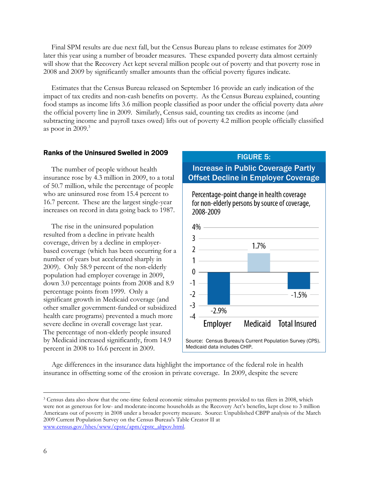Final SPM results are due next fall, but the Census Bureau plans to release estimates for 2009 later this year using a number of broader measures. These expanded poverty data almost certainly will show that the Recovery Act kept several million people out of poverty and that poverty rose in 2008 and 2009 by significantly smaller amounts than the official poverty figures indicate.

Estimates that the Census Bureau released on September 16 provide an early indication of the impact of tax credits and non-cash benefits on poverty. As the Census Bureau explained, counting food stamps as income lifts 3.6 million people classified as poor under the official poverty data *above* the official poverty line in 2009. Similarly, Census said, counting tax credits as income (and subtracting income and payroll taxes owed) lifts out of poverty 4.2 million people officially classified as poor in  $2009$ .<sup>3</sup>

## Ranks of the Uninsured Swelled in 2009

The number of people without health insurance rose by 4.3 million in 2009, to a total of 50.7 million, while the percentage of people who are uninsured rose from 15.4 percent to 16.7 percent. These are the largest single-year increases on record in data going back to 1987.

The rise in the uninsured population resulted from a decline in private health coverage, driven by a decline in employerbased coverage (which has been occurring for a number of years but accelerated sharply in 2009). Only 58.9 percent of the non-elderly population had employer coverage in 2009, down 3.0 percentage points from 2008 and 8.9 percentage points from 1999. Only a significant growth in Medicaid coverage (and other smaller government-funded or subsidized health care programs) prevented a much more severe decline in overall coverage last year. The percentage of non-elderly people insured by Medicaid increased significantly, from 14.9 percent in 2008 to 16.6 percent in 2009.

#### FIGURE 5:

# Increase in Public Coverage Partly Offset Decline in Employer Coverage

Percentage-point change in health coverage for non-elderly persons by source of coverage, 2008-2009



Age differences in the insurance data highlight the importance of the federal role in health insurance in offsetting some of the erosion in private coverage. In 2009, despite the severe

 $\overline{a}$ 

<sup>&</sup>lt;sup>3</sup> Census data also show that the one-time federal economic stimulus payments provided to tax filers in 2008, which were not as generous for low- and moderate-income households as the Recovery Act's benefits, kept close to 3 million Americans out of poverty in 2008 under a broader poverty measure. Source: Unpublished CBPP analysis of the March 2009 Current Population Survey on the Census Bureau's Table Creator II at www.census.gov/hhes/www/cpstc/apm/cpstc\_altpov.html.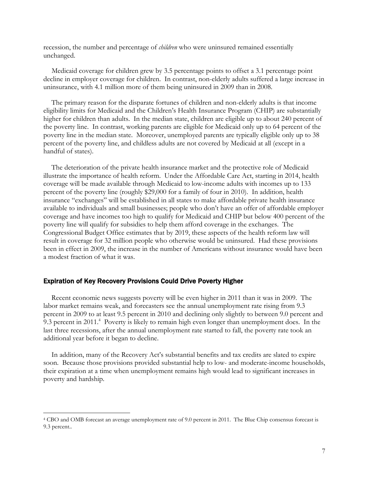recession, the number and percentage of *children* who were uninsured remained essentially unchanged.

Medicaid coverage for children grew by 3.5 percentage points to offset a 3.1 percentage point decline in employer coverage for children. In contrast, non-elderly adults suffered a large increase in uninsurance, with 4.1 million more of them being uninsured in 2009 than in 2008.

The primary reason for the disparate fortunes of children and non-elderly adults is that income eligibility limits for Medicaid and the Children's Health Insurance Program (CHIP) are substantially higher for children than adults. In the median state, children are eligible up to about 240 percent of the poverty line. In contrast, working parents are eligible for Medicaid only up to 64 percent of the poverty line in the median state. Moreover, unemployed parents are typically eligible only up to 38 percent of the poverty line, and childless adults are not covered by Medicaid at all (except in a handful of states).

The deterioration of the private health insurance market and the protective role of Medicaid illustrate the importance of health reform. Under the Affordable Care Act, starting in 2014, health coverage will be made available through Medicaid to low-income adults with incomes up to 133 percent of the poverty line (roughly \$29,000 for a family of four in 2010). In addition, health insurance "exchanges" will be established in all states to make affordable private health insurance available to individuals and small businesses; people who don't have an offer of affordable employer coverage and have incomes too high to qualify for Medicaid and CHIP but below 400 percent of the poverty line will qualify for subsidies to help them afford coverage in the exchanges. The Congressional Budget Office estimates that by 2019, these aspects of the health reform law will result in coverage for 32 million people who otherwise would be uninsured. Had these provisions been in effect in 2009, the increase in the number of Americans without insurance would have been a modest fraction of what it was.

## Expiration of Key Recovery Provisions Could Drive Poverty Higher

 $\overline{a}$ 

Recent economic news suggests poverty will be even higher in 2011 than it was in 2009. The labor market remains weak, and forecasters see the annual unemployment rate rising from 9.3 percent in 2009 to at least 9.5 percent in 2010 and declining only slightly to between 9.0 percent and 9.3 percent in 2011.<sup>4</sup> Poverty is likely to remain high even longer than unemployment does. In the last three recessions, after the annual unemployment rate started to fall, the poverty rate took an additional year before it began to decline.

In addition, many of the Recovery Act's substantial benefits and tax credits are slated to expire soon. Because those provisions provided substantial help to low- and moderate-income households, their expiration at a time when unemployment remains high would lead to significant increases in poverty and hardship.

<sup>4</sup> CBO and OMB forecast an average unemployment rate of 9.0 percent in 2011. The Blue Chip consensus forecast is 9.3 percent..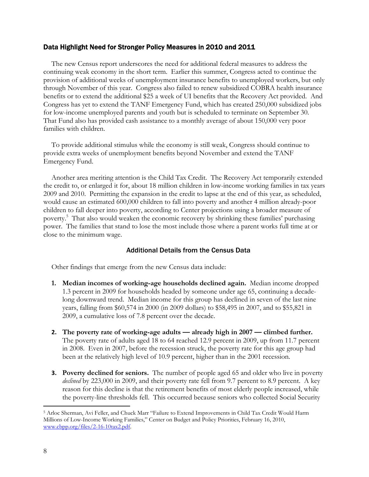## Data Highlight Need for Stronger Policy Measures in 2010 and 2011

The new Census report underscores the need for additional federal measures to address the continuing weak economy in the short term. Earlier this summer, Congress acted to continue the provision of additional weeks of unemployment insurance benefits to unemployed workers, but only through November of this year. Congress also failed to renew subsidized COBRA health insurance benefits or to extend the additional \$25 a week of UI benefits that the Recovery Act provided. And Congress has yet to extend the TANF Emergency Fund, which has created 250,000 subsidized jobs for low-income unemployed parents and youth but is scheduled to terminate on September 30. That Fund also has provided cash assistance to a monthly average of about 150,000 very poor families with children.

To provide additional stimulus while the economy is still weak, Congress should continue to provide extra weeks of unemployment benefits beyond November and extend the TANF Emergency Fund.

Another area meriting attention is the Child Tax Credit. The Recovery Act temporarily extended the credit to, or enlarged it for, about 18 million children in low-income working families in tax years 2009 and 2010. Permitting the expansion in the credit to lapse at the end of this year, as scheduled, would cause an estimated 600,000 children to fall into poverty and another 4 million already-poor children to fall deeper into poverty, according to Center projections using a broader measure of poverty.<sup>5</sup> That also would weaken the economic recovery by shrinking these families' purchasing power. The families that stand to lose the most include those where a parent works full time at or close to the minimum wage.

## Additional Details from the Census Data

Other findings that emerge from the new Census data include:

- **1. Median incomes of working-age households declined again.** Median income dropped 1.3 percent in 2009 for households headed by someone under age 65, continuing a decadelong downward trend. Median income for this group has declined in seven of the last nine years, falling from \$60,574 in 2000 (in 2009 dollars) to \$58,495 in 2007, and to \$55,821 in 2009, a cumulative loss of 7.8 percent over the decade.
- **2. The poverty rate of working-age adults already high in 2007 climbed further.**  The poverty rate of adults aged 18 to 64 reached 12.9 percent in 2009, up from 11.7 percent in 2008. Even in 2007, before the recession struck, the poverty rate for this age group had been at the relatively high level of 10.9 percent, higher than in the 2001 recession.
- **3. Poverty declined for seniors.** The number of people aged 65 and older who live in poverty *declined* by 223,000 in 2009, and their poverty rate fell from 9.7 percent to 8.9 percent. A key reason for this decline is that the retirement benefits of most elderly people increased, while the poverty-line thresholds fell. This occurred because seniors who collected Social Security

 $\overline{a}$ 

<sup>5</sup> Arloc Sherman, Avi Feller, and Chuck Marr "Failure to Extend Improvements in Child Tax Credit Would Harm Millions of Low-Income Working Families," Center on Budget and Policy Priorities, February 16, 2010, www.cbpp.org/files/2-16-10tax2.pdf.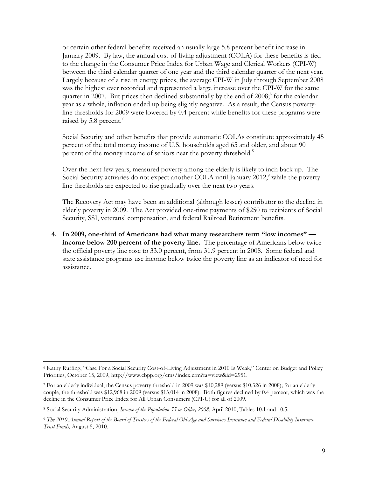or certain other federal benefits received an usually large 5.8 percent benefit increase in January 2009. By law, the annual cost-of-living adjustment (COLA) for these benefits is tied to the change in the Consumer Price Index for Urban Wage and Clerical Workers (CPI-W) between the third calendar quarter of one year and the third calendar quarter of the next year. Largely because of a rise in energy prices, the average CPI-W in July through September 2008 was the highest ever recorded and represented a large increase over the CPI-W for the same quarter in 2007. But prices then declined substantially by the end of  $2008$ ; for the calendar year as a whole, inflation ended up being slightly negative. As a result, the Census povertyline thresholds for 2009 were lowered by 0.4 percent while benefits for these programs were raised by 5.8 percent.<sup>7</sup>

Social Security and other benefits that provide automatic COLAs constitute approximately 45 percent of the total money income of U.S. households aged 65 and older, and about 90 percent of the money income of seniors near the poverty threshold.<sup>8</sup>

Over the next few years, measured poverty among the elderly is likely to inch back up. The Social Security actuaries do not expect another COLA until January 2012,<sup>9</sup> while the povertyline thresholds are expected to rise gradually over the next two years.

The Recovery Act may have been an additional (although lesser) contributor to the decline in elderly poverty in 2009. The Act provided one-time payments of \$250 to recipients of Social Security, SSI, veterans' compensation, and federal Railroad Retirement benefits.

**4. In 2009, one-third of Americans had what many researchers term "low incomes" income below 200 percent of the poverty line.** The percentage of Americans below twice the official poverty line rose to 33.0 percent, from 31.9 percent in 2008. Some federal and state assistance programs use income below twice the poverty line as an indicator of need for assistance.

-

<sup>6</sup> Kathy Ruffing, "Case For a Social Security Cost-of-Living Adjustment in 2010 Is Weak," Center on Budget and Policy Priorities, October 15, 2009, http://www.cbpp.org/cms/index.cfm?fa=view&id=2951.

<sup>7</sup> For an elderly individual, the Census poverty threshold in 2009 was \$10,289 (versus \$10,326 in 2008); for an elderly couple, the threshold was \$12,968 in 2009 (versus \$13,014 in 2008). Both figures declined by 0.4 percent, which was the decline in the Consumer Price Index for All Urban Consumers (CPI-U) for all of 2009.

<sup>8</sup> Social Security Administration, *Income of the Population 55 or Older, 2008*, April 2010, Tables 10.1 and 10.5.

<sup>9</sup> *The 2010 Annual Report of the Board of Trustees of the Federal Old-Age and Survivors Insurance and Federal Disability Insurance Trust Funds*, August 5, 2010.